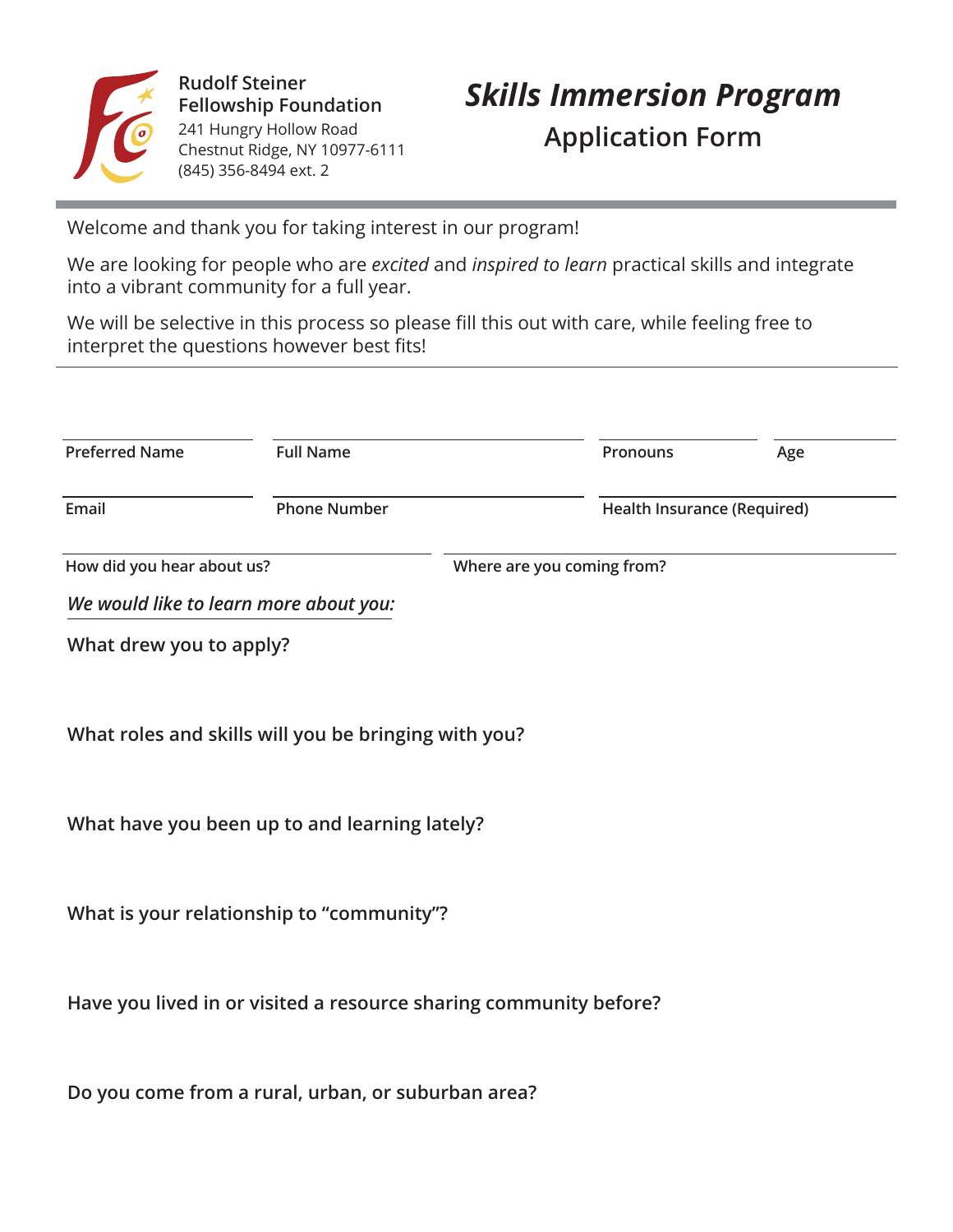

**Rudolf Steiner**  241 Hungry Hollow Road Chestnut Ridge, NY 10977-6111 (845) 356-8494 ext. 2

# Rudolf Steiner<br>Fellowship Foundation **Skills Immersion Program Application Form**

Welcome and thank you for taking interest in our program!

We are looking for people who are *excited* and *inspired to learn* practical skills and integrate  $\blacksquare$  into a vibrant community for a full year.

We will be selective in this process so please fill this out with care, while feeling free to interpret the questions however best fits! **Address**

| <b>Preferred Name</b>      | <b>Full Name</b>                       |                            | <b>Pronouns</b>             | Age |  |
|----------------------------|----------------------------------------|----------------------------|-----------------------------|-----|--|
| Email                      | <b>Phone Number</b>                    |                            | Health Insurance (Required) |     |  |
| How did you hear about us? |                                        | Where are you coming from? |                             |     |  |
|                            | We would like to learn more about you: |                            |                             |     |  |

**What drew you to apply?** 

**What roles and skills will you be bringing with you?**

**What have you been up to and learning lately?**

**What is your relationship to "community"?**

Have you lived in or visited a resource sharing community before?

**Do you come from a rural, urban, or suburban area?**